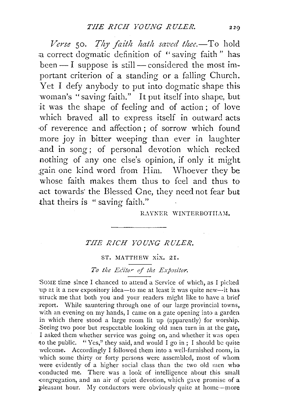*Verse* 50. *Thy faith hath saved thee.*-To hold a correct dogmatic definition of "saving faith" has  $been - I$  suppose is still - considered the most important criterion of a standing or a falling Church. Yet I defy anybody to put into dogmatic shape this woman's "saving faith." It put itself into shape, but it was the shape of feeling and of action; of love which braved all to express itself in outward acts ·of reverence and affection; of sorrow which found more joy in bitter weeping than ever in laughter .and in song ; of personal devotion which reeked nothing of any one else's opinion, if only it might ,gain one kind word from Him. \Vhoever they be whose faith makes them thus to feel and thus to .act towards· the Blessed One, they need not fear but that theirs is "saving faith."

#### RAYNER WINTERBOTIIAM.

# *T.IIE RICH YOUNG RULER.*

### ST. MATTHEW XIX. 21.

# To the Editor of the Expositor.

SOME time since I chanced to attend a Service of which, as I picked up at it a new expository idea-to me at least it was quite new--it has ·struck me that both you and your readers might like to have a brief report. While sauntering through one of our large provincial towns, with an evening on my hands, I came on a gate opening into a garden in which there stood a large room lit up (apparently) for worship. . Seeing two poor but respectable looking old men turn in at the gate, I asked them whether service was going on, and whether it was open to the public. "Yes," they said, and would I go in; I should be quite welcome. Accordingly I followed them into a well-furnished room, in which some thirty or forty persons were assembled, most of whom were evidently of a higher social class than the two old men who conducted me. There was a look of intelligence about this small -congregation, and an air of quiet devotion, which gave promise of a pleasant hour. My conductors were obviously quite at home-more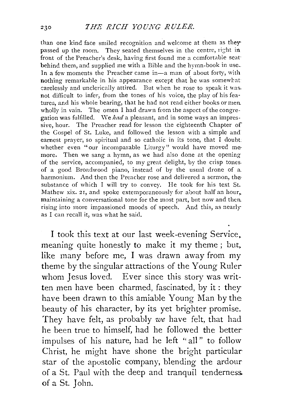than one kind face smiled recognition and welcome at them as they passed up the room. They seated themselves in the centre, right in front of the Preacher's desk, having first found me a comfortable seat behind them, and supplied me with a Bible and the hymn-book in use. In a few moments the Preacher came in-a man of about forty, with nothing remarkable in his appearance except that he was somewhat: carelessly and unclerically attired. But when he rose to speak it was, not difficult to infer, from the tones of his voice, the play of his features, and his whole bearing, that he had not read either books or men. wholly in vain. The omen I had drawn from the aspect of the congregation was fulfilled. \Ve *had* a pleasant, and in some ways an impressive, hour. The Preacher read for lesson the eighteenth Chapter of the Gospel of St. Luke, and followed the lesson with a simple and earnest prayer, so spiritual and so catholic in its tone, that I doubt. whether even "our incomparable Liturgy" would have moved memore. Then we sang a hymn, as we had also done at the opening of the service, accompanied, to my great delight, by the crisp tones of a good Broadwood piano, instead of by the usual drone of a. harmonium. And then the Preacher rose and delivered a sermon, the substance of which I will try to convey. He took for his text St. Mathew xix. 21, and spoke extemporaneously for about half an hour, maintaining a conversational tone for the most part, but now and then. rising into more impassioned moods of speech. And this, as nearly as I can recall it, was what he said.

I took this text at our last week-evening Service. meaning quite honestly to make it my theme ; but. like many before me, I was drawn away from my theme by the singular attractions of the Young Ruler whom Jesus loved. Ever since this story was written men have been charmed, fascinated, by it : they have been drawn to this amiable Young Man by the beauty of his character, by its yet brighter promise. They have felt, as probably *we* have felt, that had he been true to himself, had he followed the better impulses of his nature, had he left "all" to follow Christ, he might have shone the bright particular star of the apostolic company, blending the ardour of a St. Paul with the deep and tranquil tenderness. of a St. John.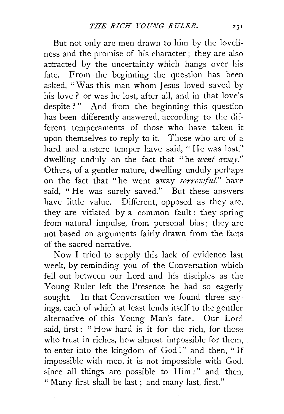But not only arc men drawn to him by the loveliness and the promise of his character ; they are also attracted by the uncertainty which hangs over his fate. From the beginning the question has been asked, "Was this man whom Jesus loved saved by his love ? or was he lost, after all, and in that love's despite?" And from the beginning this question has been differently answered, according to the different temperaments of those who have taken it upon themselves to reply to it. Those who are of a hard and austere temper have said, "He was lost," dwelling unduly on the fact that "he *went away*." Others, of a gentler nature, dwelling unduly perhaps on the fact that "he went away *sorrowful,"* have said, " He was surely saved." But these answers have little value. Different, opposed as they are, they are vitiated by a common fault: they spring from natural impulse, from personal bias; they are not based on arguments fairly drawn from the facts of the sacred narrative.

Now I tried to supply this lack of evidence last week, by reminding you of the Conversation which fell out between our Lord and his disciples as the Young Ruler left the Presence he had so eagerly sought. In that Conversation we found three sayings, each of which at least lends itself to the gentler alternative of this Young Man's fate. Our Lord said, first: " How hard is it for the rich, for those who trust in riches, how almost impossible for them, to enter into the kingdom of God!" and then, "If impossible with men, it is not impossible with God, since all things are possible to Him:" and then, " Many first shall be last; and many last, first."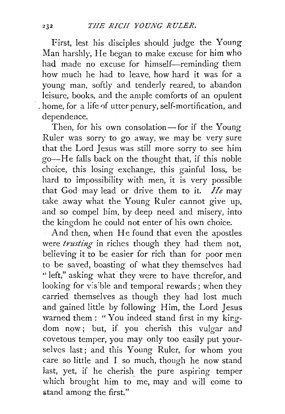First, lest his disciples should judge the Young Man harshly, He began to make excuse for him who had made no excuse for himself-reminding them how much he had to leave, how hard it was for a young man, softly and tenderly reared, to abandon leisure, books, and the ample comforts of an opulent · . home, for a life 0f utter penury, self-mortification, and dependence.

Then, for his own consolation - for if the Young Ruler was sorry to go away, we may be very sure that the Lord Jesus was still more sorry to see him go-He falls back on the thought that, if this noble choice, this losing exchange, this gainful loss, be hard to impossibility with men, it is very possible that God may lead or drive them to it. *He* may take away what the Young Ruler cannot give up, and so compel him, by deep need and misery, into the kingdom he could not enter of his own choice.

And then, when He found that even the apostles were *trusting* in riches though they had them not, believing it to be easier for rich than for poor men to be saved, boasting of what they themselves had "left," asking what they were to have therefor, and looking for visible and temporal rewards; when they carried themselves as though they had lost much and gained little by following Him, the Lord Jesus warned them : " You indeed stand first in my kingdom now; but, if you cherish this vulgar and covetous temper, you may only too easily put your-· selves last; and this Young Ruler, for whom you care so little and I so much, though he now stand last, yet, if he cherish the pure aspiring temper which brought him to me, may and will come to stand among the first."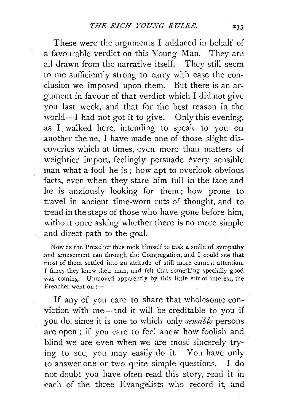These were the arguments I adduced in behalf of a favourable verdict on this Young Man. They are all drawn from the narrative itself. They still seem to me sufficiently strong to carry with ease the conclusion we imposed upon them. But there is an argument in favour of that verdict which I· did not give you last week, and that for the best reason in the world-I had not got it to give. Only this evening, as I walked here, intending to speak to you on another theme, I have made one of those slight discoveries which at times, even more than matters of weightier import, feelingly persuade every sensible man what a fool he is; how apt to overlook obvious facts, even when they stare him full in the face and he is anxiously looking for them ; how prone to travel in ancient time-worn ruts of thought, and to tread in the steps of those who have gone before him, without once asking whether there is no more simple and direct path to the goal.

Now as the Preacher thus took himself to task a smile of sympathy and amusement ran through the Congregation, and I could see that most of them settled into an attitude of still more earnest attention. I fancy they knew their man, and felt that something specially good was coming. Unmoved apparently by this little stir of interest, the Preacher went on :-

If any of you care to share that wholesome conviction with me-and it will be creditable to you if you do, since it is one to which only *sensible* persons are open; if you care to feel anew how foolish and blind we are even when we are most sincerely trying to see, you may easily do it. You have only to answer one or two quite simple questions. I do not doubt you have often read this story, read it in each of the three Evangelists who record it, and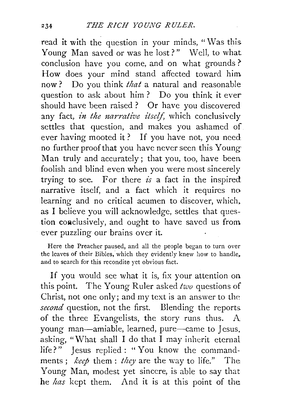read it with the question in your minds, "Was this. Young Man saved or was he lost?" Well, to what conclusion have you come, and on what grounds? How does your mind stand affected toward him now ? Do you think *that* a natural and reasonable question to ask about him ? Do you think it ever should have been raised? Or have you discovered any fact, *in the narrative itself,* which conclusively settles that question, and makes you ashamed of ever having mooted it ? If you have not, you need no further proof that you have never seen this Young Man truly and accurately ; that you, too, have been foolish and blind even when you were most sincerely trying to see. For there *is* a fact in the inspired narrative itself, and a fact which it requires no learning and no critical acumen to discover, which. as I believe you will acknowledge, settles that question coaclusively, and ought to have saved us from ever puzzling our brains over it.

Here the Preacher paused, and all the people began to turn over the leaves of their Bibles, which they evidently knew how to handle, and to search for this recondite yet obvious fact.

If you would see what it is, fix your attention on this point. The Young Ruler asked *two* questions of Christ, not one only; and my text is an answer to the *second* question, not the first. Blending the reports. of the three Evangelists, the story runs thus. A young man-amiable, learned, pure-came to Jesus, asking, "What shall I do that I may inherit eternal life?" Jesus replied : " You know the commandments ; *keep* them : *they* are the way to life." The Young Man, modest yet sincere, is able to say that he *has* kept them. And it is at this point of the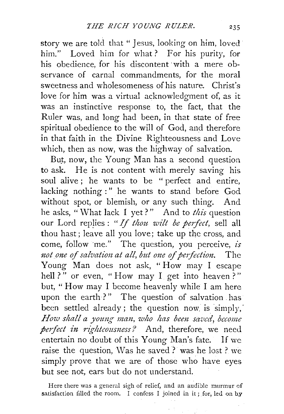story we are told that " Jesus, looking on him, loved him." Loved him for what? For his purity, for his obedience, for his discontent with a mere observance of carnal commandments, for the moral sweetness and wholesomeness of his nature. Christ's love for him was a virtual acknowledgment of, as it was an instinctive response to, the fact, that the Ruler was, and long had been, in that state of free spiritual obedience to the will of God, and therefore in that faith in the Divine Righteousness and Love which, then as now, was the highway of salvation.

But, now, the Young Man has a second question to ask. He is *not* content with merely saving his. soul alive; he wants to be "perfect and entire, lacking nothing :" he wants to stand before God without spot, or blemish, or any such thing. And he asks, "\Vhat lack I yet?" And to *this* question our Lord replies : "If thou wilt be perfect, sell all thou hast ; leave all you love; take up the cross, and come, follow ·me." The question, you perceive, *is not one of salvation at all, but one of perfection.* The Young Man does not ask, " How may I escape hell ?" or even, "How may I get into heaven ?" but, " How may I become heavenly while I am here upon the earth?" The question of salvation has been settled already; the question now is simply, *How shall a young man, who has been saved, become perfect in righteousness?* And, therefore, we need entertain no doubt of this Young Man's fate. If we raise the question, \Vas he saved? was he lost? we simply prove that we are of those who have eyes. but see not, ears but do not understand.

Here there was a general sigh of relief, and an audible murmur of satisfaction filled the room. I confess I joined in it ; for, led on by

a Shake St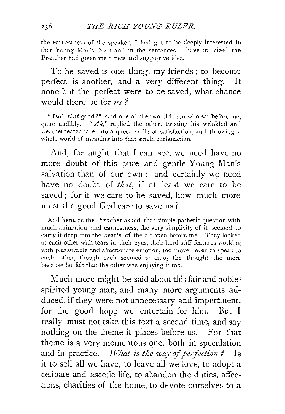the earnestness of the speaker, I had got to be deeply interested in that Young Man's fate : and in the sentences I have italicized the Preacher had given me a new and suggestive idea.

To be saved is one thing, my friends; to become perfect is another, and a very different thing. If none but the perfect were to be saved, what chance would there be for *us ?* 

"Isn't *that* good?" said one of the two old men who sat before me, quite audibly. *"Ah*," replied the other, twisting his wrinkled and weatherbeaten face into a queer smile of satisfaction, and throwing a whole world of meaning into that single exclamation.

And, for aught that I can see, we need have no more doubt of this pure and gentle Young Man's salvation than of our own : and certainly we need have no doubt of *that*, if at least we care to be saved; for if we care to be saved, how much more must the good God care to save us?

And here, as the Preacher asked that simple pathetic question with much animation and earnestness, the very simplicity of it seemed to carry it deep into the hearts of the old men before me. They looked at each other with tears in their eyes, their hard stiff features working with pleasurable and affectionate emotion, too moved even to speak to each other, though each seemed to enjoy the thought the more because he felt that the other was enjoying it too.

Much more might be said about this fair and noble· spirited young man, and many more arguments adduced, if they were not unnecessary and impertinent, for the good hope we entertain for him. But I really must not take this text a second time, and say nothing on the theme it places before us. For that theme is a very momentous one, both in speculation and in practice. *What is the way of perfection?* Is it to sell all we have, to leave all we love, to adopt a celibate and ascetic life, to abandon the duties, affections, charities of the home, to devote ourselves to a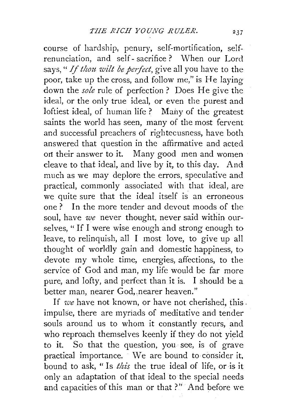course of hardship, penury, self-mortification, selfrenunciation, and self - sacrifice ? When our Lord says, " *If thou wilt be perfect*, give all you have to the poor, take up the cross, and follow me," is He laying down the *sole* rule of perfection? Does He give the ideal, or the only true ideal, or even the purest and loftiest ideal, of human life ? Many of the greatest saints the world has seen, many of the most fervent and successful preachers of rightecusness, have both answered that question in the affirmative and acted on their answer to it. Many good men and women cleave to that ideal, and live by it, to this day. And much as we may deplore the errors, speculative and practical, commonly associated with that ideal, are we quite sure that the ideal itself is an erroneous one? In the more tender and devout moods of the soul, have *we* never thought, never said within ourselves, " If I were wise enough and strong enough to leave, to relinquish, all I most love, to give up all thought of worldly gain and domestic happiness, to devote my whole time, energies, affections, to the service of God and man, my life would be far more pure, and lofty, and perfect than it is. I should be a better man, nearer God, nearer heaven."

If *we* have not known, or have not cherished, this. impulse, there are myriads of meditative and tender souls around us to whom it constantly recurs, and who reproach themselves keenly if they do not yield to it. So that the question, you see, is of grave practical importance. We are bound to consider it, bound to ask, "Is *this* the true ideal of life, or is it only an adaptation of that ideal to the special needs and capacities of this man or that?" And before we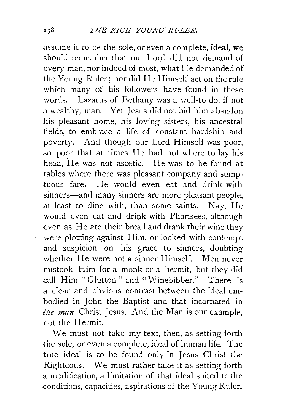assume it to be the sole, or even a complete, ideal, we should remember that our Lord did not demand of every man, nor indeed of most, what He demanded of the Young Ruler; nor did He Himself act on the rule which many of his followers have found in these words. Lazarus of Bethany was a well-to-do, if not a wealthy, man. Yet Jesus did not bid him abandon his pleasant home, his loving sisters, his ancestral fields, to embrace a life of constant hardship and poverty. And though our Lord Himself was poor, *so* poor that at times He had not where to lay his head, He was not ascetic. He was to be found at tables where there was pleasant company and sumptuous fare. He would even eat and drink with sinners—and many sinners are more pleasant people, at least to dine with, than some saints. Nay, He would even eat and drink with Pharisees, although even as He ate their bread and drank their wine they were plotting against Him, or looked with contempt and suspicion on his grace to sinners, doubting whether He were not a sinner Himself. Men never mistook Him for a monk or a hermit, but they did call Him "Glutton" and "Winebibber." There is a clear and obvious contrast between the ideal embodied in John the Baptist and that incarnated in the man Christ Jesus. And the Man is our example, not the Hermit.

We must not take my text, then, as setting forth the sole, or even a complete, ideal of human life. The true ideal is to be found only in Jesus Christ the Righteous. We must rather take it as setting forth a modification, a limitation of that ideal suited to the conditions, capacities, aspirations of the Young Ruler.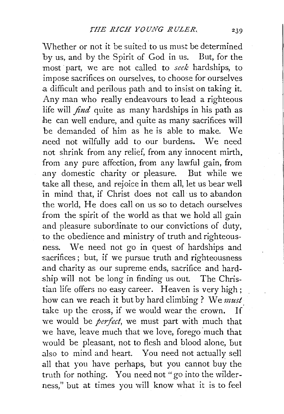'Whether or not it be suited to us must be determined by us, and by the Spirit of God in us. But, for the most part, we are not called to *seek* hardships, to impose sacrifices on ourselves, to choose for ourselves .a difficult and perilous path and to insist on taking it. Any man who really endeavours to lead a righteous life will *find* quite as many hardships in his path as he can well endure, and quite as many sacrifices will be demanded of him as he is able to make. We .need not wilfully add to our burdens. We need not shrink from any relief, from any innocent mirth, from any pure affection, from any lawful gain, from .any domestic charity or pleasure. But while we take all these, and rejoice in them all, let us bear well in mind that, if Christ does not call us to abandon the world, He does call on us so to detach ourselves from the spirit of the world as that we hold all gain and pleasure subordinate to our convictions of duty, to the obedience and ministry of truth and righteousness. We need not go in quest of hardships and sacrifices; but, if we pursue truth and righteousness .and charity as our supreme ends, sacrifice and hardship will not be long in finding us out. The Christian life offers no easy career. Heaven is very high; how can we reach it but by hard climbing ? We *must.*  take up the cross, if we would wear the crown. If we would be *perfect,* we must part with much that we have, leave much that we love, forego much that would be pleasant, not to flesh and blood alone, but also to mind and heart. You need not actually sell all that you have perhaps, but you cannot buy the truth for nothing. You need not "go into the wilderness," but at times you will know \vhat it is to feel